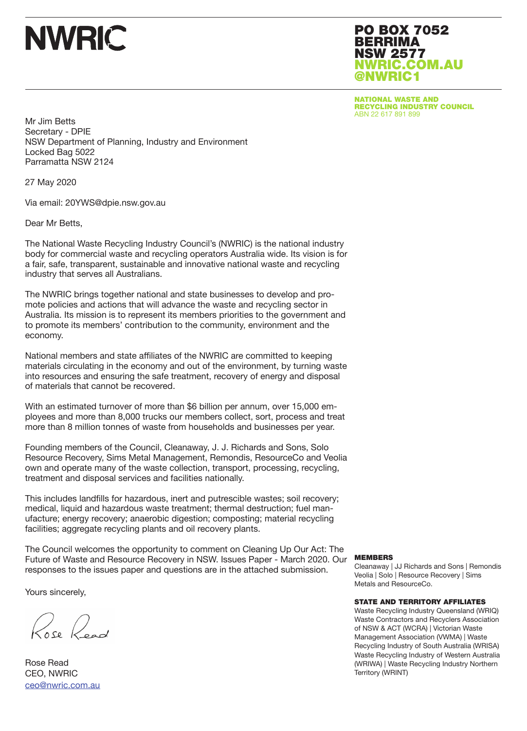# **NWRIC**

PO BOX 7052 BERRIMA NSW 2577 NWRIC.COM.AU @NWRIC1

NATIONAL WASTE AND RECYCLING INDUSTRY COUNCIL ABN 22 617 891 899

Mr Jim Betts Secretary - DPIE NSW Department of Planning, Industry and Environment Locked Bag 5022 Parramatta NSW 2124

27 May 2020

Via email: 20YWS@dpie.nsw.gov.au

Dear Mr Betts,

The National Waste Recycling Industry Council's (NWRIC) is the national industry body for commercial waste and recycling operators Australia wide. Its vision is for a fair, safe, transparent, sustainable and innovative national waste and recycling industry that serves all Australians.

The NWRIC brings together national and state businesses to develop and promote policies and actions that will advance the waste and recycling sector in Australia. Its mission is to represent its members priorities to the government and to promote its members' contribution to the community, environment and the economy.

National members and state affiliates of the NWRIC are committed to keeping materials circulating in the economy and out of the environment, by turning waste into resources and ensuring the safe treatment, recovery of energy and disposal of materials that cannot be recovered.

With an estimated turnover of more than \$6 billion per annum, over 15,000 employees and more than 8,000 trucks our members collect, sort, process and treat more than 8 million tonnes of waste from households and businesses per year.

Founding members of the Council, Cleanaway, J. J. Richards and Sons, Solo Resource Recovery, Sims Metal Management, Remondis, ResourceCo and Veolia own and operate many of the waste collection, transport, processing, recycling, treatment and disposal services and facilities nationally.

This includes landfills for hazardous, inert and putrescible wastes; soil recovery; medical, liquid and hazardous waste treatment; thermal destruction; fuel manufacture; energy recovery; anaerobic digestion; composting; material recycling facilities; aggregate recycling plants and oil recovery plants.

The Council welcomes the opportunity to comment on Cleaning Up Our Act: The Future of Waste and Resource Recovery in NSW. Issues Paper - March 2020. Our responses to the issues paper and questions are in the attached submission.

Yours sincerely,

Rose Road

Rose Read CEO, NWRIC ceo@nwric.com.au

#### MEMBERS

Cleanaway | JJ Richards and Sons | Remondis Veolia | Solo | Resource Recovery | Sims Metals and ResourceCo.

#### STATE AND TERRITORY AFFILIATES

Waste Recycling Industry Queensland (WRIQ) Waste Contractors and Recyclers Association of NSW & ACT (WCRA) | Victorian Waste Management Association (VWMA) | Waste Recycling Industry of South Australia (WRISA) Waste Recycling Industry of Western Australia (WRIWA) | Waste Recycling Industry Northern Territory (WRINT)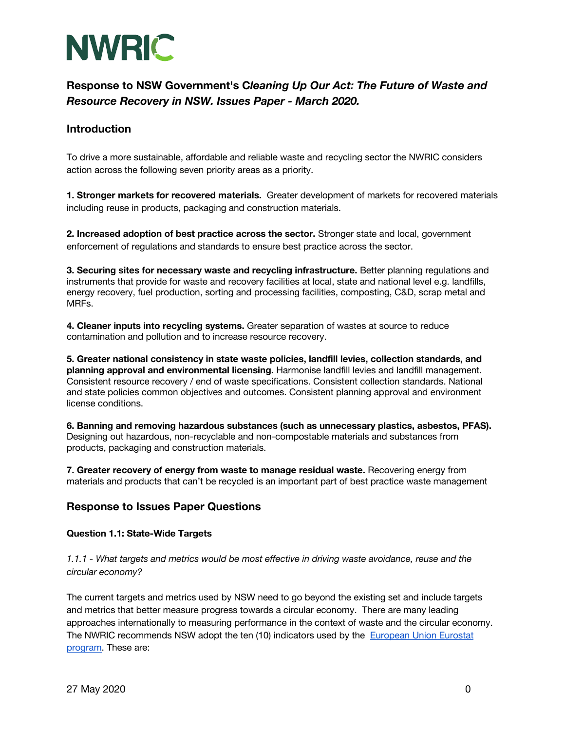

### **Introduction**

To drive a more sustainable, affordable and reliable waste and recycling sector the NWRIC considers action across the following seven priority areas as a priority.

**1. Stronger markets for recovered materials.** Greater development of markets for recovered materials including reuse in products, packaging and construction materials.

**2. Increased adoption of best practice across the sector.** Stronger state and local, government enforcement of regulations and standards to ensure best practice across the sector.

**3. Securing sites for necessary waste and recycling infrastructure.** Better planning regulations and instruments that provide for waste and recovery facilities at local, state and national level e.g. landfills, energy recovery, fuel production, sorting and processing facilities, composting, C&D, scrap metal and MRFs.

**4. Cleaner inputs into recycling systems.** Greater separation of wastes at source to reduce contamination and pollution and to increase resource recovery.

**5. Greater national consistency in state waste policies, landfill levies, collection standards, and planning approval and environmental licensing.** Harmonise landfill levies and landfill management. Consistent resource recovery / end of waste specifications. Consistent collection standards. National and state policies common objectives and outcomes. Consistent planning approval and environment license conditions.

**6. Banning and removing hazardous substances (such as unnecessary plastics, asbestos, PFAS).**  Designing out hazardous, non-recyclable and non-compostable materials and substances from products, packaging and construction materials.

**7. Greater recovery of energy from waste to manage residual waste.** Recovering energy from materials and products that can't be recycled is an important part of best practice waste management

### **Response to Issues Paper Questions**

### **Question 1.1: State-Wide Targets**

*1.1.1 - What targets and metrics would be most effective in driving waste avoidance, reuse and the circular economy?* 

The current targets and metrics used by NSW need to go beyond the existing set and include targets and metrics that better measure progress towards a circular economy. There are many leading approaches internationally to measuring performance in the context of waste and the circular economy. The NWRIC recommends NSW adopt the ten (10) indicators used by the European Union Eurostat program. These are: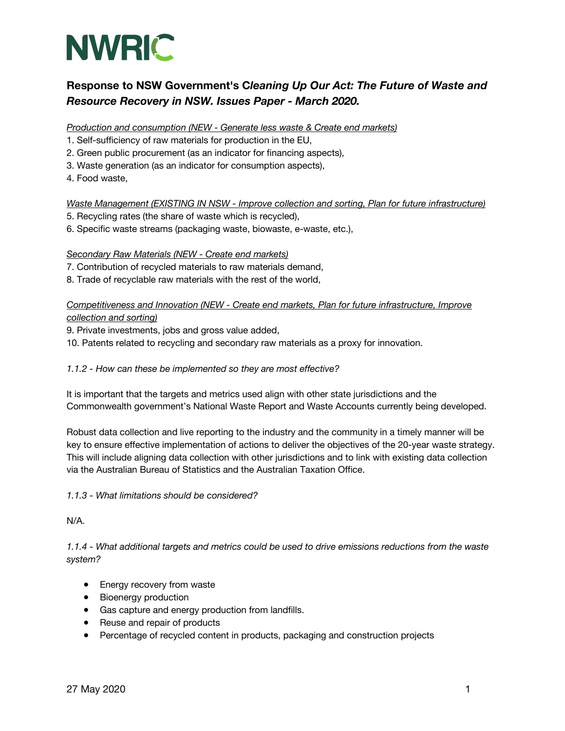

*Production and consumption (NEW - Generate less waste & Create end markets)*

- 1. Self-sufficiency of raw materials for production in the EU,
- 2. Green public procurement (as an indicator for financing aspects),
- 3. Waste generation (as an indicator for consumption aspects),
- 4. Food waste,

*Waste Management (EXISTING IN NSW - Improve collection and sorting, Plan for future infrastructure)*

- 5. Recycling rates (the share of waste which is recycled),
- 6. Specific waste streams (packaging waste, biowaste, e-waste, etc.),

#### *Secondary Raw Materials (NEW - Create end markets)*

- 7. Contribution of recycled materials to raw materials demand,
- 8. Trade of recyclable raw materials with the rest of the world,

*Competitiveness and Innovation (NEW - Create end markets, Plan for future infrastructure, Improve collection and sorting)*

- 9. Private investments, jobs and gross value added,
- 10. Patents related to recycling and secondary raw materials as a proxy for innovation.

#### *1.1.2 - How can these be implemented so they are most effective?*

It is important that the targets and metrics used align with other state jurisdictions and the Commonwealth government's National Waste Report and Waste Accounts currently being developed.

Robust data collection and live reporting to the industry and the community in a timely manner will be key to ensure effective implementation of actions to deliver the objectives of the 20-year waste strategy. This will include aligning data collection with other jurisdictions and to link with existing data collection via the Australian Bureau of Statistics and the Australian Taxation Office.

*1.1.3 - What limitations should be considered?* 

N/A.

*1.1.4 - What additional targets and metrics could be used to drive emissions reductions from the waste system?*

- Energy recovery from waste
- Bioenergy production
- Gas capture and energy production from landfills.
- Reuse and repair of products
- Percentage of recycled content in products, packaging and construction projects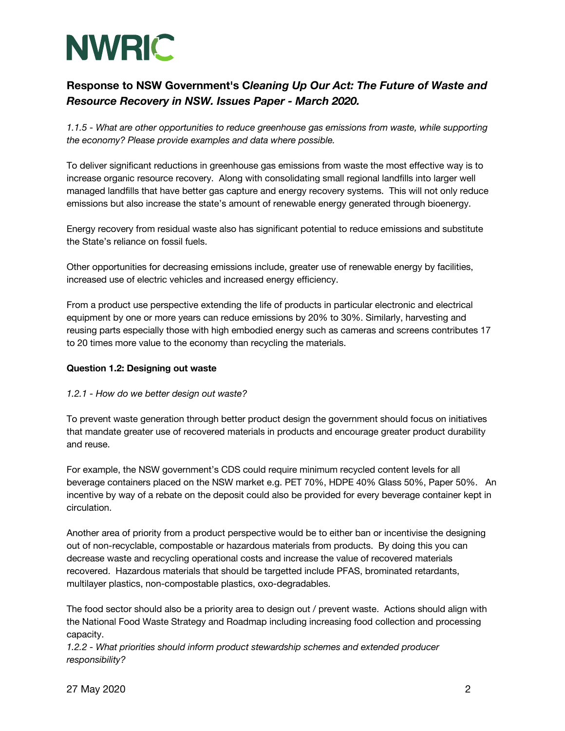

*1.1.5 - What are other opportunities to reduce greenhouse gas emissions from waste, while supporting the economy? Please provide examples and data where possible.* 

To deliver significant reductions in greenhouse gas emissions from waste the most effective way is to increase organic resource recovery. Along with consolidating small regional landfills into larger well managed landfills that have better gas capture and energy recovery systems. This will not only reduce emissions but also increase the state's amount of renewable energy generated through bioenergy.

Energy recovery from residual waste also has significant potential to reduce emissions and substitute the State's reliance on fossil fuels.

Other opportunities for decreasing emissions include, greater use of renewable energy by facilities, increased use of electric vehicles and increased energy efficiency.

From a product use perspective extending the life of products in particular electronic and electrical equipment by one or more years can reduce emissions by 20% to 30%. Similarly, harvesting and reusing parts especially those with high embodied energy such as cameras and screens contributes 17 to 20 times more value to the economy than recycling the materials.

### **Question 1.2: Designing out waste**

### *1.2.1 - How do we better design out waste?*

To prevent waste generation through better product design the government should focus on initiatives that mandate greater use of recovered materials in products and encourage greater product durability and reuse.

For example, the NSW government's CDS could require minimum recycled content levels for all beverage containers placed on the NSW market e.g. PET 70%, HDPE 40% Glass 50%, Paper 50%. An incentive by way of a rebate on the deposit could also be provided for every beverage container kept in circulation.

Another area of priority from a product perspective would be to either ban or incentivise the designing out of non-recyclable, compostable or hazardous materials from products. By doing this you can decrease waste and recycling operational costs and increase the value of recovered materials recovered. Hazardous materials that should be targetted include PFAS, brominated retardants, multilayer plastics, non-compostable plastics, oxo-degradables.

The food sector should also be a priority area to design out / prevent waste. Actions should align with the National Food Waste Strategy and Roadmap including increasing food collection and processing capacity.

*1.2.2 - What priorities should inform product stewardship schemes and extended producer responsibility?*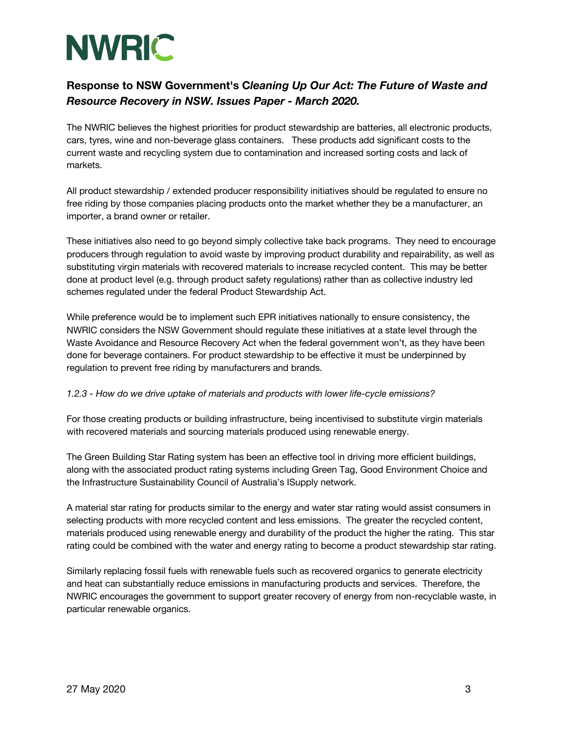

The NWRIC believes the highest priorities for product stewardship are batteries, all electronic products, cars, tyres, wine and non-beverage glass containers. These products add significant costs to the current waste and recycling system due to contamination and increased sorting costs and lack of markets.

All product stewardship / extended producer responsibility initiatives should be regulated to ensure no free riding by those companies placing products onto the market whether they be a manufacturer, an importer, a brand owner or retailer.

These initiatives also need to go beyond simply collective take back programs. They need to encourage producers through regulation to avoid waste by improving product durability and repairability, as well as substituting virgin materials with recovered materials to increase recycled content. This may be better done at product level (e.g. through product safety regulations) rather than as collective industry led schemes regulated under the federal Product Stewardship Act.

While preference would be to implement such EPR initiatives nationally to ensure consistency, the NWRIC considers the NSW Government should regulate these initiatives at a state level through the Waste Avoidance and Resource Recovery Act when the federal government won't, as they have been done for beverage containers. For product stewardship to be effective it must be underpinned by regulation to prevent free riding by manufacturers and brands.

### *1.2.3 - How do we drive uptake of materials and products with lower life-cycle emissions?*

For those creating products or building infrastructure, being incentivised to substitute virgin materials with recovered materials and sourcing materials produced using renewable energy.

The Green Building Star Rating system has been an effective tool in driving more efficient buildings, along with the associated product rating systems including Green Tag, Good Environment Choice and the Infrastructure Sustainability Council of Australia's ISupply network.

A material star rating for products similar to the energy and water star rating would assist consumers in selecting products with more recycled content and less emissions. The greater the recycled content, materials produced using renewable energy and durability of the product the higher the rating. This star rating could be combined with the water and energy rating to become a product stewardship star rating.

Similarly replacing fossil fuels with renewable fuels such as recovered organics to generate electricity and heat can substantially reduce emissions in manufacturing products and services. Therefore, the NWRIC encourages the government to support greater recovery of energy from non-recyclable waste, in particular renewable organics.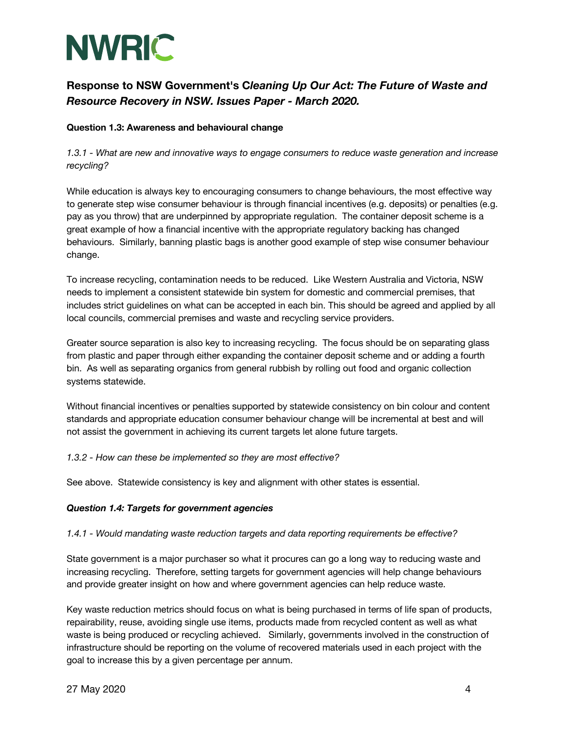

### **Question 1.3: Awareness and behavioural change**

*1.3.1 - What are new and innovative ways to engage consumers to reduce waste generation and increase recycling?*

While education is always key to encouraging consumers to change behaviours, the most effective way to generate step wise consumer behaviour is through financial incentives (e.g. deposits) or penalties (e.g. pay as you throw) that are underpinned by appropriate regulation. The container deposit scheme is a great example of how a financial incentive with the appropriate regulatory backing has changed behaviours. Similarly, banning plastic bags is another good example of step wise consumer behaviour change.

To increase recycling, contamination needs to be reduced. Like Western Australia and Victoria, NSW needs to implement a consistent statewide bin system for domestic and commercial premises, that includes strict guidelines on what can be accepted in each bin. This should be agreed and applied by all local councils, commercial premises and waste and recycling service providers.

Greater source separation is also key to increasing recycling. The focus should be on separating glass from plastic and paper through either expanding the container deposit scheme and or adding a fourth bin. As well as separating organics from general rubbish by rolling out food and organic collection systems statewide.

Without financial incentives or penalties supported by statewide consistency on bin colour and content standards and appropriate education consumer behaviour change will be incremental at best and will not assist the government in achieving its current targets let alone future targets.

### *1.3.2 - How can these be implemented so they are most effective?*

See above. Statewide consistency is key and alignment with other states is essential.

#### *Question 1.4: Targets for government agencies*

#### *1.4.1 - Would mandating waste reduction targets and data reporting requirements be effective?*

State government is a major purchaser so what it procures can go a long way to reducing waste and increasing recycling. Therefore, setting targets for government agencies will help change behaviours and provide greater insight on how and where government agencies can help reduce waste.

Key waste reduction metrics should focus on what is being purchased in terms of life span of products, repairability, reuse, avoiding single use items, products made from recycled content as well as what waste is being produced or recycling achieved. Similarly, governments involved in the construction of infrastructure should be reporting on the volume of recovered materials used in each project with the goal to increase this by a given percentage per annum.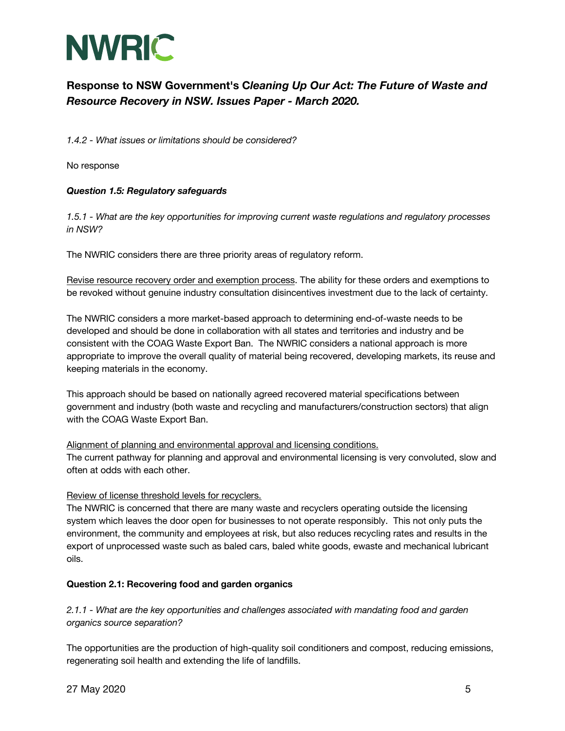

*1.4.2 - What issues or limitations should be considered?* 

No response

### *Question 1.5: Regulatory safeguards*

*1.5.1 - What are the key opportunities for improving current waste regulations and regulatory processes in NSW?* 

The NWRIC considers there are three priority areas of regulatory reform.

Revise resource recovery order and exemption process. The ability for these orders and exemptions to be revoked without genuine industry consultation disincentives investment due to the lack of certainty.

The NWRIC considers a more market-based approach to determining end-of-waste needs to be developed and should be done in collaboration with all states and territories and industry and be consistent with the COAG Waste Export Ban. The NWRIC considers a national approach is more appropriate to improve the overall quality of material being recovered, developing markets, its reuse and keeping materials in the economy.

This approach should be based on nationally agreed recovered material specifications between government and industry (both waste and recycling and manufacturers/construction sectors) that align with the COAG Waste Export Ban.

#### Alignment of planning and environmental approval and licensing conditions.

The current pathway for planning and approval and environmental licensing is very convoluted, slow and often at odds with each other.

#### Review of license threshold levels for recyclers.

The NWRIC is concerned that there are many waste and recyclers operating outside the licensing system which leaves the door open for businesses to not operate responsibly. This not only puts the environment, the community and employees at risk, but also reduces recycling rates and results in the export of unprocessed waste such as baled cars, baled white goods, ewaste and mechanical lubricant oils.

### **Question 2.1: Recovering food and garden organics**

*2.1.1 - What are the key opportunities and challenges associated with mandating food and garden organics source separation?* 

The opportunities are the production of high-quality soil conditioners and compost, reducing emissions, regenerating soil health and extending the life of landfills.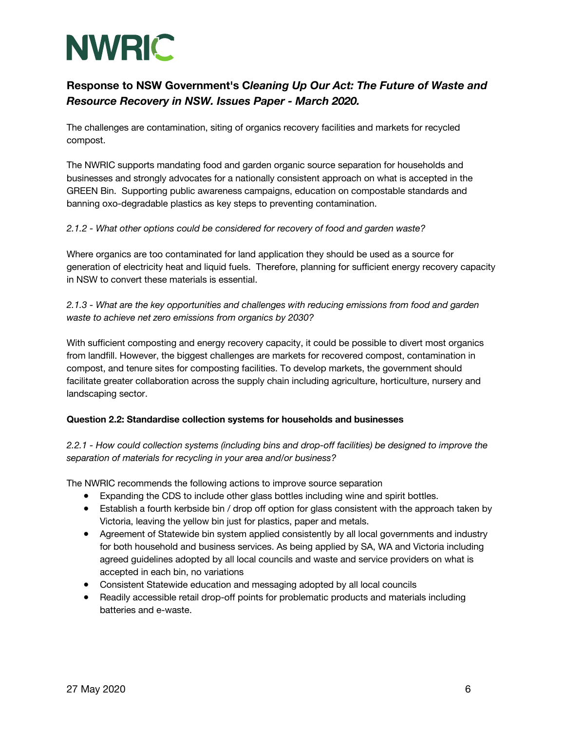

The challenges are contamination, siting of organics recovery facilities and markets for recycled compost.

The NWRIC supports mandating food and garden organic source separation for households and businesses and strongly advocates for a nationally consistent approach on what is accepted in the GREEN Bin. Supporting public awareness campaigns, education on compostable standards and banning oxo-degradable plastics as key steps to preventing contamination.

### *2.1.2 - What other options could be considered for recovery of food and garden waste?*

Where organics are too contaminated for land application they should be used as a source for generation of electricity heat and liquid fuels. Therefore, planning for sufficient energy recovery capacity in NSW to convert these materials is essential.

*2.1.3 - What are the key opportunities and challenges with reducing emissions from food and garden waste to achieve net zero emissions from organics by 2030?* 

With sufficient composting and energy recovery capacity, it could be possible to divert most organics from landfill. However, the biggest challenges are markets for recovered compost, contamination in compost, and tenure sites for composting facilities. To develop markets, the government should facilitate greater collaboration across the supply chain including agriculture, horticulture, nursery and landscaping sector.

### **Question 2.2: Standardise collection systems for households and businesses**

*2.2.1 - How could collection systems (including bins and drop-off facilities) be designed to improve the separation of materials for recycling in your area and/or business?* 

The NWRIC recommends the following actions to improve source separation

- Expanding the CDS to include other glass bottles including wine and spirit bottles.
- Establish a fourth kerbside bin / drop off option for glass consistent with the approach taken by Victoria, leaving the yellow bin just for plastics, paper and metals.
- Agreement of Statewide bin system applied consistently by all local governments and industry for both household and business services. As being applied by SA, WA and Victoria including agreed guidelines adopted by all local councils and waste and service providers on what is accepted in each bin, no variations
- Consistent Statewide education and messaging adopted by all local councils
- Readily accessible retail drop-off points for problematic products and materials including batteries and e-waste.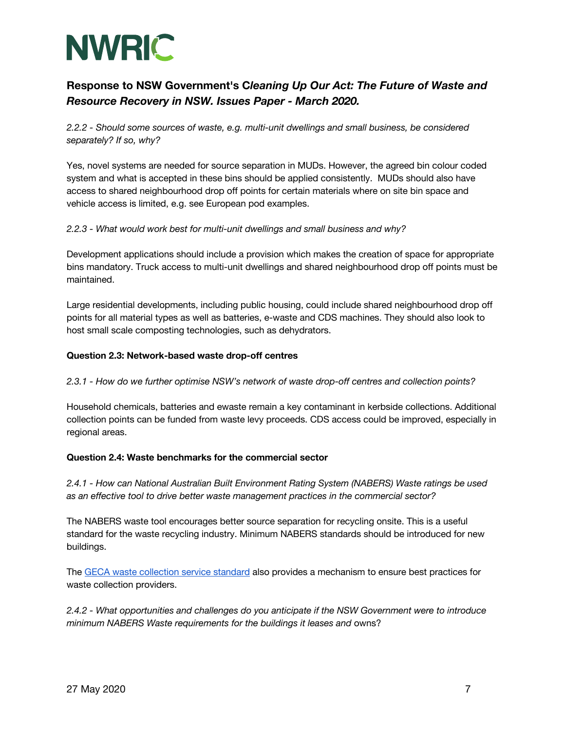

*2.2.2 - Should some sources of waste, e.g. multi-unit dwellings and small business, be considered separately? If so, why?* 

Yes, novel systems are needed for source separation in MUDs. However, the agreed bin colour coded system and what is accepted in these bins should be applied consistently. MUDs should also have access to shared neighbourhood drop off points for certain materials where on site bin space and vehicle access is limited, e.g. see European pod examples.

### *2.2.3 - What would work best for multi-unit dwellings and small business and why?*

Development applications should include a provision which makes the creation of space for appropriate bins mandatory. Truck access to multi-unit dwellings and shared neighbourhood drop off points must be maintained.

Large residential developments, including public housing, could include shared neighbourhood drop off points for all material types as well as batteries, e-waste and CDS machines. They should also look to host small scale composting technologies, such as dehydrators.

#### **Question 2.3: Network-based waste drop-off centres**

#### *2.3.1 - How do we further optimise NSW's network of waste drop-off centres and collection points?*

Household chemicals, batteries and ewaste remain a key contaminant in kerbside collections. Additional collection points can be funded from waste levy proceeds. CDS access could be improved, especially in regional areas.

#### **Question 2.4: Waste benchmarks for the commercial sector**

*2.4.1 - How can National Australian Built Environment Rating System (NABERS) Waste ratings be used as an effective tool to drive better waste management practices in the commercial sector?* 

The NABERS waste tool encourages better source separation for recycling onsite. This is a useful standard for the waste recycling industry. Minimum NABERS standards should be introduced for new buildings.

The GECA waste collection service standard also provides a mechanism to ensure best practices for waste collection providers.

*2.4.2 - What opportunities and challenges do you anticipate if the NSW Government were to introduce minimum NABERS Waste requirements for the buildings it leases and* owns?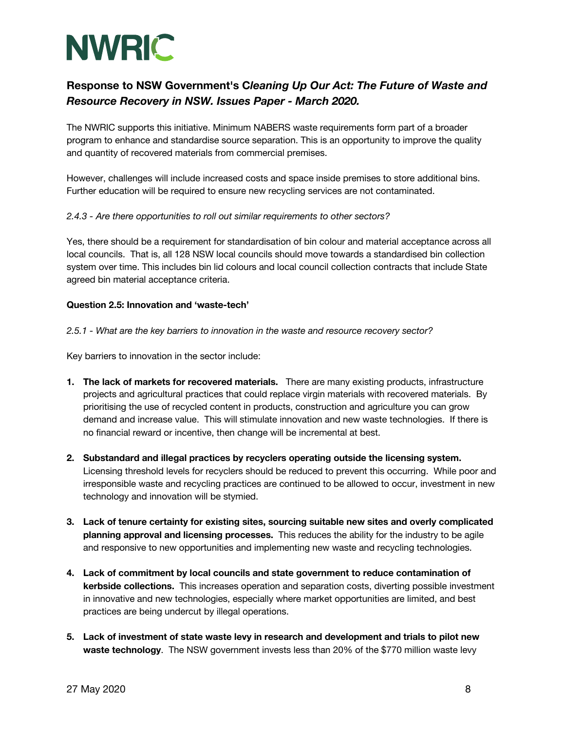

The NWRIC supports this initiative. Minimum NABERS waste requirements form part of a broader program to enhance and standardise source separation. This is an opportunity to improve the quality and quantity of recovered materials from commercial premises.

However, challenges will include increased costs and space inside premises to store additional bins. Further education will be required to ensure new recycling services are not contaminated.

### *2.4.3 - Are there opportunities to roll out similar requirements to other sectors?*

Yes, there should be a requirement for standardisation of bin colour and material acceptance across all local councils. That is, all 128 NSW local councils should move towards a standardised bin collection system over time. This includes bin lid colours and local council collection contracts that include State agreed bin material acceptance criteria.

### **Question 2.5: Innovation and 'waste-tech'**

*2.5.1 - What are the key barriers to innovation in the waste and resource recovery sector?* 

Key barriers to innovation in the sector include:

- **1. The lack of markets for recovered materials.** There are many existing products, infrastructure projects and agricultural practices that could replace virgin materials with recovered materials. By prioritising the use of recycled content in products, construction and agriculture you can grow demand and increase value. This will stimulate innovation and new waste technologies. If there is no financial reward or incentive, then change will be incremental at best.
- **2. Substandard and illegal practices by recyclers operating outside the licensing system.** Licensing threshold levels for recyclers should be reduced to prevent this occurring. While poor and irresponsible waste and recycling practices are continued to be allowed to occur, investment in new technology and innovation will be stymied.
- **3. Lack of tenure certainty for existing sites, sourcing suitable new sites and overly complicated planning approval and licensing processes.** This reduces the ability for the industry to be agile and responsive to new opportunities and implementing new waste and recycling technologies.
- **4. Lack of commitment by local councils and state government to reduce contamination of kerbside collections.** This increases operation and separation costs, diverting possible investment in innovative and new technologies, especially where market opportunities are limited, and best practices are being undercut by illegal operations.
- **5. Lack of investment of state waste levy in research and development and trials to pilot new waste technology**. The NSW government invests less than 20% of the \$770 million waste levy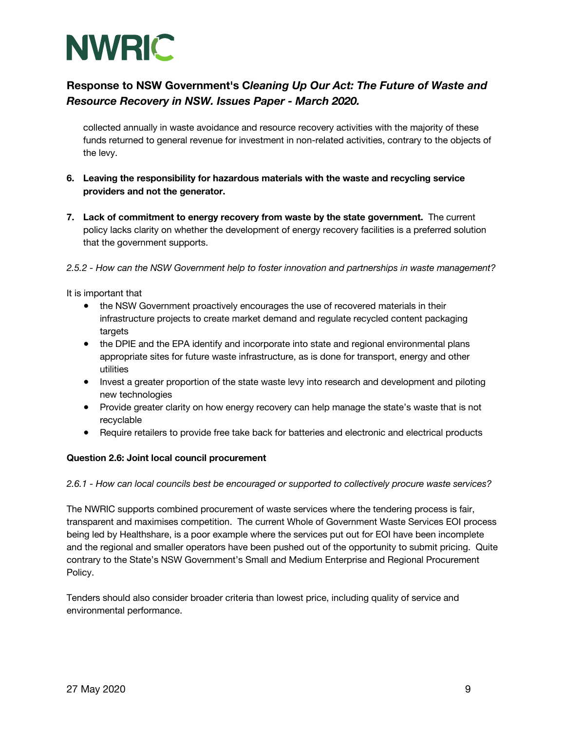

collected annually in waste avoidance and resource recovery activities with the majority of these funds returned to general revenue for investment in non-related activities, contrary to the objects of the levy.

- **6. Leaving the responsibility for hazardous materials with the waste and recycling service providers and not the generator.**
- **7. Lack of commitment to energy recovery from waste by the state government.** The current policy lacks clarity on whether the development of energy recovery facilities is a preferred solution that the government supports.

*2.5.2 - How can the NSW Government help to foster innovation and partnerships in waste management?* 

It is important that

- the NSW Government proactively encourages the use of recovered materials in their infrastructure projects to create market demand and regulate recycled content packaging targets
- the DPIE and the EPA identify and incorporate into state and regional environmental plans appropriate sites for future waste infrastructure, as is done for transport, energy and other utilities
- Invest a greater proportion of the state waste levy into research and development and piloting new technologies
- Provide greater clarity on how energy recovery can help manage the state's waste that is not recyclable
- Require retailers to provide free take back for batteries and electronic and electrical products

### **Question 2.6: Joint local council procurement**

#### *2.6.1 - How can local councils best be encouraged or supported to collectively procure waste services?*

The NWRIC supports combined procurement of waste services where the tendering process is fair, transparent and maximises competition. The current Whole of Government Waste Services EOI process being led by Healthshare, is a poor example where the services put out for EOI have been incomplete and the regional and smaller operators have been pushed out of the opportunity to submit pricing. Quite contrary to the State's NSW Government's Small and Medium Enterprise and Regional Procurement Policy.

Tenders should also consider broader criteria than lowest price, including quality of service and environmental performance.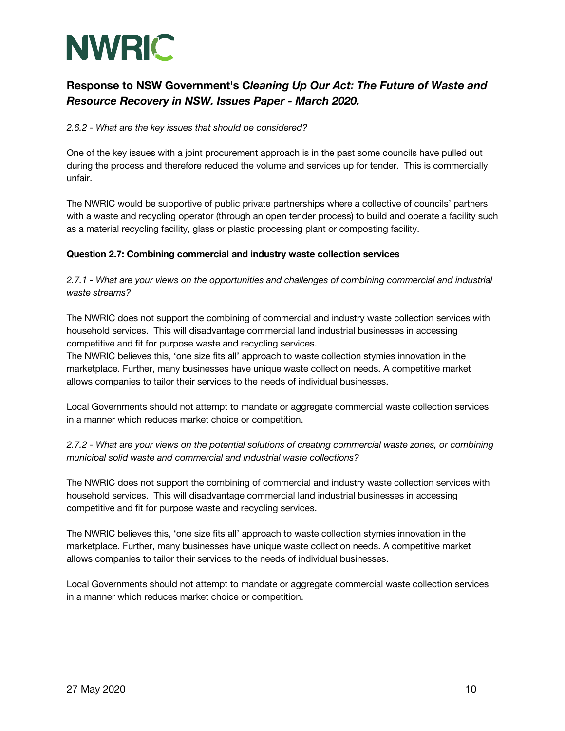

*2.6.2 - What are the key issues that should be considered?* 

One of the key issues with a joint procurement approach is in the past some councils have pulled out during the process and therefore reduced the volume and services up for tender. This is commercially unfair.

The NWRIC would be supportive of public private partnerships where a collective of councils' partners with a waste and recycling operator (through an open tender process) to build and operate a facility such as a material recycling facility, glass or plastic processing plant or composting facility.

### **Question 2.7: Combining commercial and industry waste collection services**

*2.7.1 - What are your views on the opportunities and challenges of combining commercial and industrial waste streams?*

The NWRIC does not support the combining of commercial and industry waste collection services with household services. This will disadvantage commercial land industrial businesses in accessing competitive and fit for purpose waste and recycling services.

The NWRIC believes this, 'one size fits all' approach to waste collection stymies innovation in the marketplace. Further, many businesses have unique waste collection needs. A competitive market allows companies to tailor their services to the needs of individual businesses.

Local Governments should not attempt to mandate or aggregate commercial waste collection services in a manner which reduces market choice or competition.

*2.7.2 - What are your views on the potential solutions of creating commercial waste zones, or combining municipal solid waste and commercial and industrial waste collections?* 

The NWRIC does not support the combining of commercial and industry waste collection services with household services. This will disadvantage commercial land industrial businesses in accessing competitive and fit for purpose waste and recycling services.

The NWRIC believes this, 'one size fits all' approach to waste collection stymies innovation in the marketplace. Further, many businesses have unique waste collection needs. A competitive market allows companies to tailor their services to the needs of individual businesses.

Local Governments should not attempt to mandate or aggregate commercial waste collection services in a manner which reduces market choice or competition.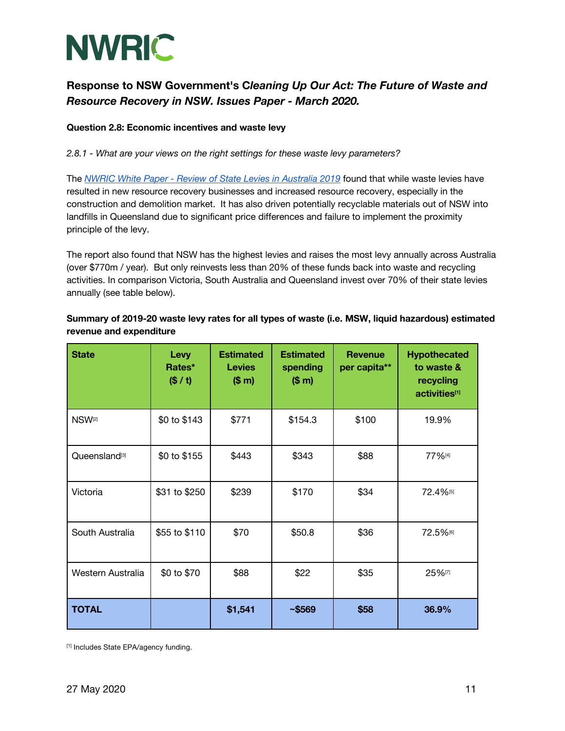

#### **Question 2.8: Economic incentives and waste levy**

*2.8.1 - What are your views on the right settings for these waste levy parameters?* 

The *NWRIC White Paper - Review of State Levies in Australia 2019* found that while waste levies have resulted in new resource recovery businesses and increased resource recovery, especially in the construction and demolition market. It has also driven potentially recyclable materials out of NSW into landfills in Queensland due to significant price differences and failure to implement the proximity principle of the levy.

The report also found that NSW has the highest levies and raises the most levy annually across Australia (over \$770m / year). But only reinvests less than 20% of these funds back into waste and recycling activities. In comparison Victoria, South Australia and Queensland invest over 70% of their state levies annually (see table below).

### **Summary of 2019-20 waste levy rates for all types of waste (i.e. MSW, liquid hazardous) estimated revenue and expenditure**

| <b>State</b>              | Levy<br>Rates*<br>(S / t) | <b>Estimated</b><br><b>Levies</b><br>(\$m) | <b>Estimated</b><br>spending<br>(\$m) | <b>Revenue</b><br>per capita** | <b>Hypothecated</b><br>to waste &<br>recycling<br>activities[1] |
|---------------------------|---------------------------|--------------------------------------------|---------------------------------------|--------------------------------|-----------------------------------------------------------------|
| NSW <sup>[2]</sup>        | \$0 to \$143              | \$771                                      | \$154.3                               | \$100                          | 19.9%                                                           |
| Queensland <sup>[3]</sup> | \$0 to \$155              | \$443                                      | \$343                                 | \$88                           | 77%[4]                                                          |
| Victoria                  | \$31 to \$250             | \$239                                      | \$170                                 | \$34                           | 72.4%                                                           |
| South Australia           | \$55 to \$110             | \$70                                       | \$50.8                                | \$36                           | 72.5%                                                           |
| Western Australia         | \$0 to \$70               | \$88                                       | \$22                                  | \$35                           | 25%[7]                                                          |
| <b>TOTAL</b>              |                           | \$1,541                                    | ~5569                                 | \$58                           | 36.9%                                                           |

[1] Includes State EPA/agency funding.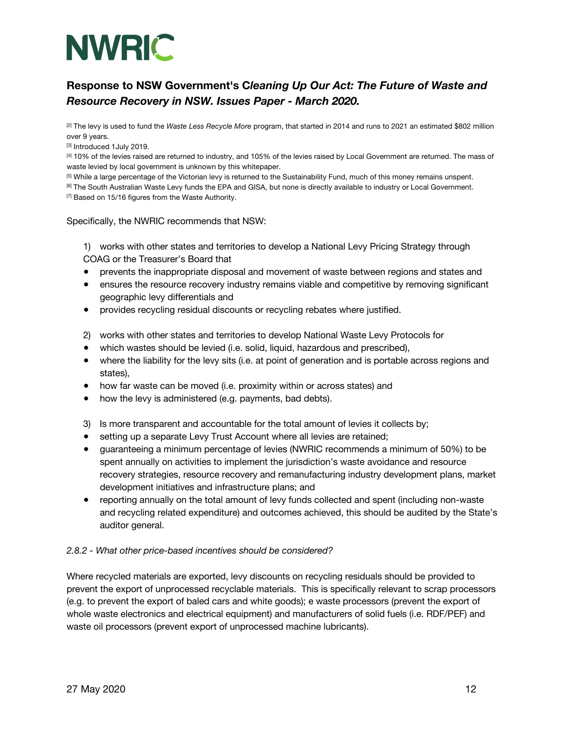

[2] The levy is used to fund the *Waste Less Recycle More* program, that started in 2014 and runs to 2021 an estimated \$802 million over 9 years.

[3] Introduced 1July 2019.

[4] 10% of the levies raised are returned to industry, and 105% of the levies raised by Local Government are returned. The mass of waste levied by local government is unknown by this whitepaper.

[5] While a large percentage of the Victorian levy is returned to the Sustainability Fund, much of this money remains unspent.

<sup>[6]</sup> The South Australian Waste Levy funds the EPA and GISA, but none is directly available to industry or Local Government. [7] Based on 15/16 figures from the Waste Authority.

#### Specifically, the NWRIC recommends that NSW:

1) works with other states and territories to develop a National Levy Pricing Strategy through COAG or the Treasurer's Board that

- prevents the inappropriate disposal and movement of waste between regions and states and
- ensures the resource recovery industry remains viable and competitive by removing significant geographic levy differentials and
- provides recycling residual discounts or recycling rebates where justified.
- 2) works with other states and territories to develop National Waste Levy Protocols for
- which wastes should be levied (i.e. solid, liquid, hazardous and prescribed),
- where the liability for the levy sits (i.e. at point of generation and is portable across regions and states),
- how far waste can be moved (i.e. proximity within or across states) and
- how the levy is administered (e.g. payments, bad debts).
- 3) Is more transparent and accountable for the total amount of levies it collects by;
- setting up a separate Levy Trust Account where all levies are retained;
- guaranteeing a minimum percentage of levies (NWRIC recommends a minimum of 50%) to be spent annually on activities to implement the jurisdiction's waste avoidance and resource recovery strategies, resource recovery and remanufacturing industry development plans, market development initiatives and infrastructure plans; and
- reporting annually on the total amount of levy funds collected and spent (including non-waste and recycling related expenditure) and outcomes achieved, this should be audited by the State's auditor general.

### *2.8.2 - What other price-based incentives should be considered?*

Where recycled materials are exported, levy discounts on recycling residuals should be provided to prevent the export of unprocessed recyclable materials. This is specifically relevant to scrap processors (e.g. to prevent the export of baled cars and white goods); e waste processors (prevent the export of whole waste electronics and electrical equipment) and manufacturers of solid fuels (i.e. RDF/PEF) and waste oil processors (prevent export of unprocessed machine lubricants).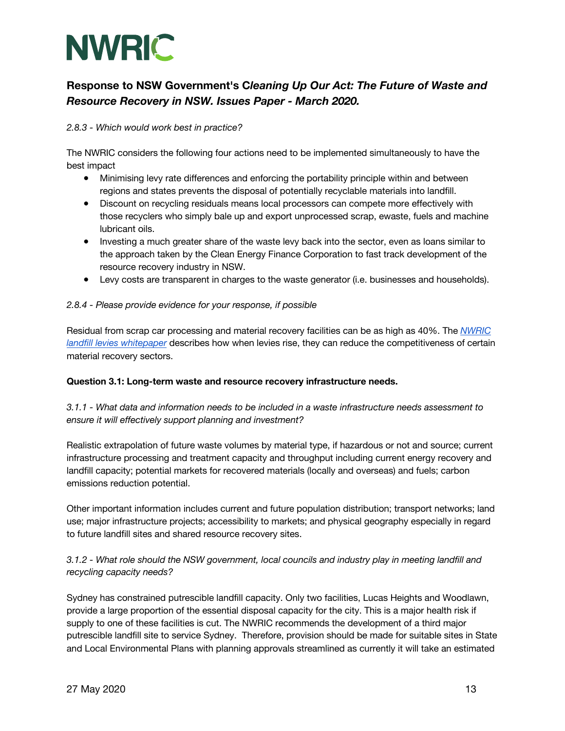

### *2.8.3 - Which would work best in practice?*

The NWRIC considers the following four actions need to be implemented simultaneously to have the best impact

- Minimising levy rate differences and enforcing the portability principle within and between regions and states prevents the disposal of potentially recyclable materials into landfill.
- Discount on recycling residuals means local processors can compete more effectively with those recyclers who simply bale up and export unprocessed scrap, ewaste, fuels and machine lubricant oils.
- Investing a much greater share of the waste levy back into the sector, even as loans similar to the approach taken by the Clean Energy Finance Corporation to fast track development of the resource recovery industry in NSW.
- Levy costs are transparent in charges to the waste generator (i.e. businesses and households).

### *2.8.4 - Please provide evidence for your response, if possible*

Residual from scrap car processing and material recovery facilities can be as high as 40%. The *NWRIC landfill levies whitepaper* describes how when levies rise, they can reduce the competitiveness of certain material recovery sectors.

### **Question 3.1: Long-term waste and resource recovery infrastructure needs.**

### *3.1.1 - What data and information needs to be included in a waste infrastructure needs assessment to ensure it will effectively support planning and investment?*

Realistic extrapolation of future waste volumes by material type, if hazardous or not and source; current infrastructure processing and treatment capacity and throughput including current energy recovery and landfill capacity; potential markets for recovered materials (locally and overseas) and fuels; carbon emissions reduction potential.

Other important information includes current and future population distribution; transport networks; land use; major infrastructure projects; accessibility to markets; and physical geography especially in regard to future landfill sites and shared resource recovery sites.

### *3.1.2 - What role should the NSW government, local councils and industry play in meeting landfill and recycling capacity needs?*

Sydney has constrained putrescible landfill capacity. Only two facilities, Lucas Heights and Woodlawn, provide a large proportion of the essential disposal capacity for the city. This is a major health risk if supply to one of these facilities is cut. The NWRIC recommends the development of a third major putrescible landfill site to service Sydney. Therefore, provision should be made for suitable sites in State and Local Environmental Plans with planning approvals streamlined as currently it will take an estimated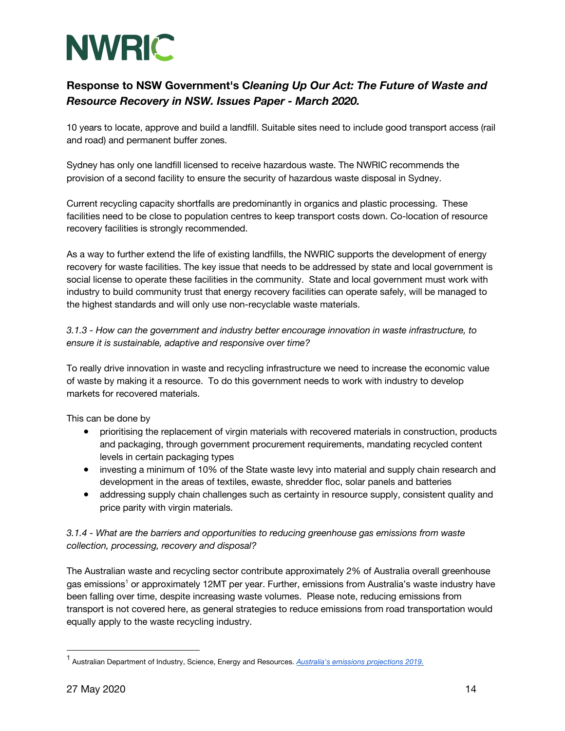

10 years to locate, approve and build a landfill. Suitable sites need to include good transport access (rail and road) and permanent buffer zones.

Sydney has only one landfill licensed to receive hazardous waste. The NWRIC recommends the provision of a second facility to ensure the security of hazardous waste disposal in Sydney.

Current recycling capacity shortfalls are predominantly in organics and plastic processing. These facilities need to be close to population centres to keep transport costs down. Co-location of resource recovery facilities is strongly recommended.

As a way to further extend the life of existing landfills, the NWRIC supports the development of energy recovery for waste facilities. The key issue that needs to be addressed by state and local government is social license to operate these facilities in the community. State and local government must work with industry to build community trust that energy recovery facilities can operate safely, will be managed to the highest standards and will only use non-recyclable waste materials.

### *3.1.3 - How can the government and industry better encourage innovation in waste infrastructure, to ensure it is sustainable, adaptive and responsive over time?*

To really drive innovation in waste and recycling infrastructure we need to increase the economic value of waste by making it a resource. To do this government needs to work with industry to develop markets for recovered materials.

This can be done by

- prioritising the replacement of virgin materials with recovered materials in construction, products and packaging, through government procurement requirements, mandating recycled content levels in certain packaging types
- investing a minimum of 10% of the State waste levy into material and supply chain research and development in the areas of textiles, ewaste, shredder floc, solar panels and batteries
- addressing supply chain challenges such as certainty in resource supply, consistent quality and price parity with virgin materials.

### *3.1.4 - What are the barriers and opportunities to reducing greenhouse gas emissions from waste collection, processing, recovery and disposal?*

The Australian waste and recycling sector contribute approximately 2% of Australia overall greenhouse gas emissions<sup>1</sup> or approximately 12MT per year. Further, emissions from Australia's waste industry have been falling over time, despite increasing waste volumes. Please note, reducing emissions from transport is not covered here, as general strategies to reduce emissions from road transportation would equally apply to the waste recycling industry.

<sup>1</sup> Australian Department of Industry, Science, Energy and Resources. *Australia's emissions projections 2019.*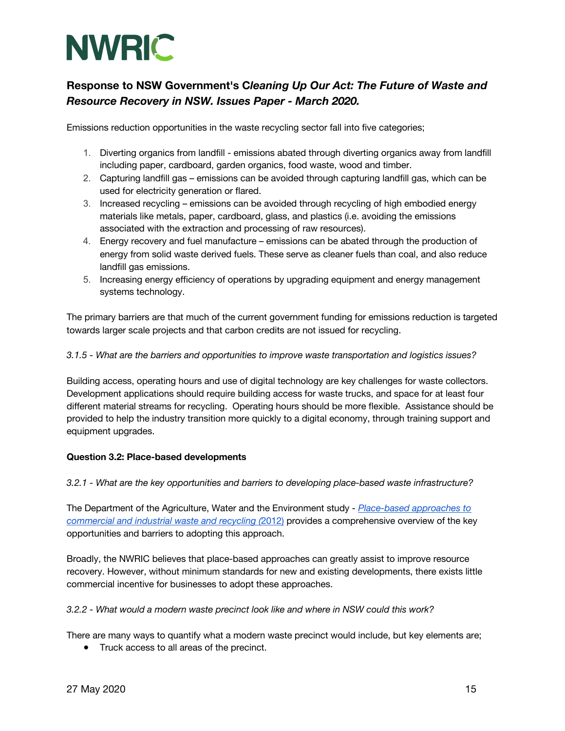

Emissions reduction opportunities in the waste recycling sector fall into five categories;

- 1. Diverting organics from landfill emissions abated through diverting organics away from landfill including paper, cardboard, garden organics, food waste, wood and timber.
- 2. Capturing landfill gas emissions can be avoided through capturing landfill gas, which can be used for electricity generation or flared.
- 3. Increased recycling emissions can be avoided through recycling of high embodied energy materials like metals, paper, cardboard, glass, and plastics (i.e. avoiding the emissions associated with the extraction and processing of raw resources).
- 4. Energy recovery and fuel manufacture emissions can be abated through the production of energy from solid waste derived fuels. These serve as cleaner fuels than coal, and also reduce landfill gas emissions.
- 5. Increasing energy efficiency of operations by upgrading equipment and energy management systems technology.

The primary barriers are that much of the current government funding for emissions reduction is targeted towards larger scale projects and that carbon credits are not issued for recycling.

### *3.1.5 - What are the barriers and opportunities to improve waste transportation and logistics issues?*

Building access, operating hours and use of digital technology are key challenges for waste collectors. Development applications should require building access for waste trucks, and space for at least four different material streams for recycling. Operating hours should be more flexible. Assistance should be provided to help the industry transition more quickly to a digital economy, through training support and equipment upgrades.

### **Question 3.2: Place-based developments**

### *3.2.1 - What are the key opportunities and barriers to developing place-based waste infrastructure?*

The Department of the Agriculture, Water and the Environment study - *Place-based approaches to commercial and industrial waste and recycling (*2012) provides a comprehensive overview of the key opportunities and barriers to adopting this approach.

Broadly, the NWRIC believes that place-based approaches can greatly assist to improve resource recovery. However, without minimum standards for new and existing developments, there exists little commercial incentive for businesses to adopt these approaches.

### *3.2.2 - What would a modern waste precinct look like and where in NSW could this work?*

There are many ways to quantify what a modern waste precinct would include, but key elements are;

● Truck access to all areas of the precinct.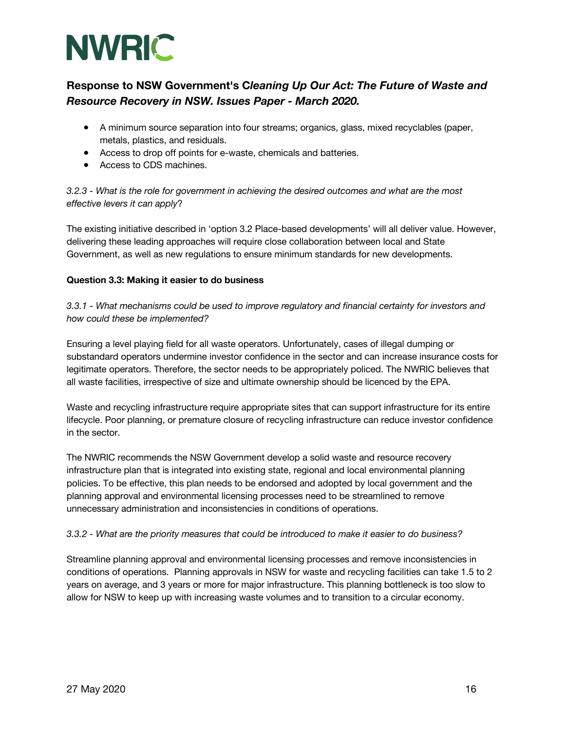

- A minimum source separation into four streams; organics, glass, mixed recyclables (paper, metals, plastics, and residuals.
- Access to drop off points for e-waste, chemicals and batteries.
- Access to CDS machines.

*3.2.3 - What is the role for government in achieving the desired outcomes and what are the most effective levers it can apply*?

The existing initiative described in 'option 3.2 Place-based developments' will all deliver value. However, delivering these leading approaches will require close collaboration between local and State Government, as well as new regulations to ensure minimum standards for new developments.

### **Question 3.3: Making it easier to do business**

*3.3.1 - What mechanisms could be used to improve regulatory and financial certainty for investors and how could these be implemented?* 

Ensuring a level playing field for all waste operators. Unfortunately, cases of illegal dumping or substandard operators undermine investor confidence in the sector and can increase insurance costs for legitimate operators. Therefore, the sector needs to be appropriately policed. The NWRIC believes that all waste facilities, irrespective of size and ultimate ownership should be licenced by the EPA.

Waste and recycling infrastructure require appropriate sites that can support infrastructure for its entire lifecycle. Poor planning, or premature closure of recycling infrastructure can reduce investor confidence in the sector.

The NWRIC recommends the NSW Government develop a solid waste and resource recovery infrastructure plan that is integrated into existing state, regional and local environmental planning policies. To be effective, this plan needs to be endorsed and adopted by local government and the planning approval and environmental licensing processes need to be streamlined to remove unnecessary administration and inconsistencies in conditions of operations.

### *3.3.2 - What are the priority measures that could be introduced to make it easier to do business?*

Streamline planning approval and environmental licensing processes and remove inconsistencies in conditions of operations. Planning approvals in NSW for waste and recycling facilities can take 1.5 to 2 years on average, and 3 years or more for major infrastructure. This planning bottleneck is too slow to allow for NSW to keep up with increasing waste volumes and to transition to a circular economy.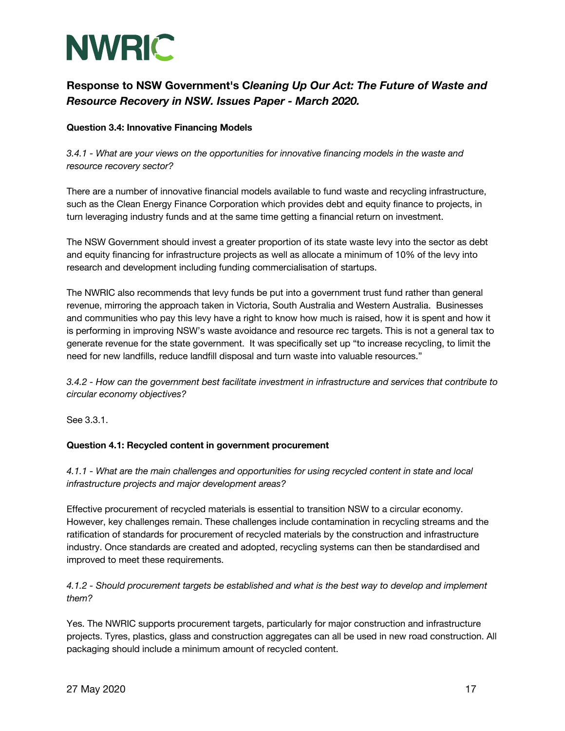

### **Question 3.4: Innovative Financing Models**

*3.4.1 - What are your views on the opportunities for innovative financing models in the waste and resource recovery sector?* 

There are a number of innovative financial models available to fund waste and recycling infrastructure, such as the Clean Energy Finance Corporation which provides debt and equity finance to projects, in turn leveraging industry funds and at the same time getting a financial return on investment.

The NSW Government should invest a greater proportion of its state waste levy into the sector as debt and equity financing for infrastructure projects as well as allocate a minimum of 10% of the levy into research and development including funding commercialisation of startups.

The NWRIC also recommends that levy funds be put into a government trust fund rather than general revenue, mirroring the approach taken in Victoria, South Australia and Western Australia. Businesses and communities who pay this levy have a right to know how much is raised, how it is spent and how it is performing in improving NSW's waste avoidance and resource rec targets. This is not a general tax to generate revenue for the state government. It was specifically set up "to increase recycling, to limit the need for new landfills, reduce landfill disposal and turn waste into valuable resources."

*3.4.2 - How can the government best facilitate investment in infrastructure and services that contribute to circular economy objectives?* 

See 3.3.1.

### **Question 4.1: Recycled content in government procurement**

*4.1.1 - What are the main challenges and opportunities for using recycled content in state and local infrastructure projects and major development areas?* 

Effective procurement of recycled materials is essential to transition NSW to a circular economy. However, key challenges remain. These challenges include contamination in recycling streams and the ratification of standards for procurement of recycled materials by the construction and infrastructure industry. Once standards are created and adopted, recycling systems can then be standardised and improved to meet these requirements.

*4.1.2 - Should procurement targets be established and what is the best way to develop and implement them?* 

Yes. The NWRIC supports procurement targets, particularly for major construction and infrastructure projects. Tyres, plastics, glass and construction aggregates can all be used in new road construction. All packaging should include a minimum amount of recycled content.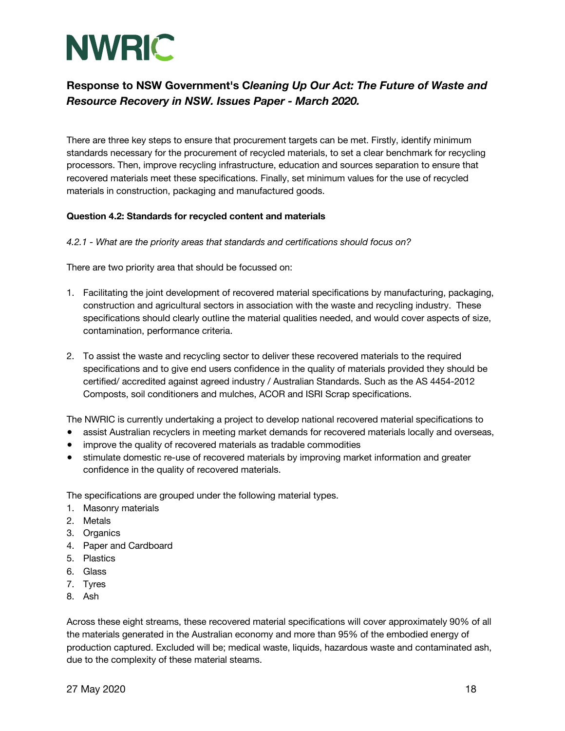

There are three key steps to ensure that procurement targets can be met. Firstly, identify minimum standards necessary for the procurement of recycled materials, to set a clear benchmark for recycling processors. Then, improve recycling infrastructure, education and sources separation to ensure that recovered materials meet these specifications. Finally, set minimum values for the use of recycled materials in construction, packaging and manufactured goods.

### **Question 4.2: Standards for recycled content and materials**

#### *4.2.1 - What are the priority areas that standards and certifications should focus on?*

There are two priority area that should be focussed on:

- 1. Facilitating the joint development of recovered material specifications by manufacturing, packaging, construction and agricultural sectors in association with the waste and recycling industry. These specifications should clearly outline the material qualities needed, and would cover aspects of size, contamination, performance criteria.
- 2. To assist the waste and recycling sector to deliver these recovered materials to the required specifications and to give end users confidence in the quality of materials provided they should be certified/ accredited against agreed industry / Australian Standards. Such as the AS 4454-2012 Composts, soil conditioners and mulches, ACOR and ISRI Scrap specifications.

The NWRIC is currently undertaking a project to develop national recovered material specifications to

- assist Australian recyclers in meeting market demands for recovered materials locally and overseas,
- improve the quality of recovered materials as tradable commodities
- stimulate domestic re-use of recovered materials by improving market information and greater confidence in the quality of recovered materials.

The specifications are grouped under the following material types.

- 1. Masonry materials
- 2. Metals
- 3. Organics
- 4. Paper and Cardboard
- 5. Plastics
- 6. Glass
- 7. Tyres
- 8. Ash

Across these eight streams, these recovered material specifications will cover approximately 90% of all the materials generated in the Australian economy and more than 95% of the embodied energy of production captured. Excluded will be; medical waste, liquids, hazardous waste and contaminated ash, due to the complexity of these material steams.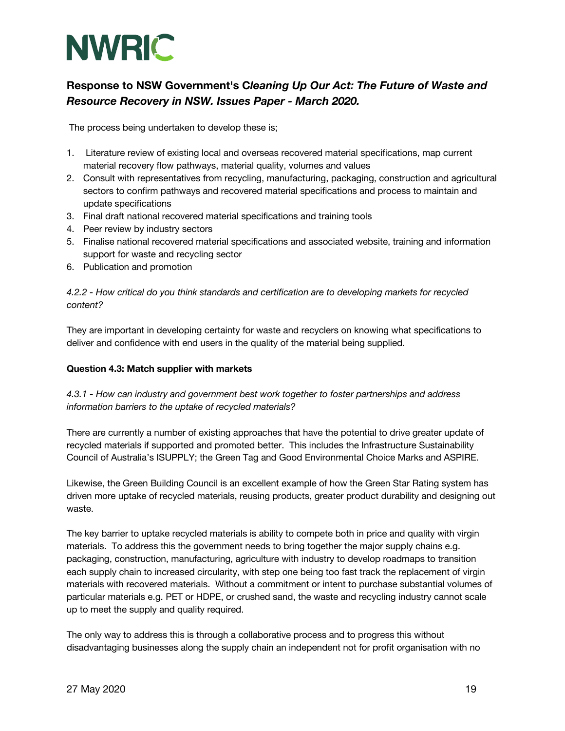

The process being undertaken to develop these is;

- 1. Literature review of existing local and overseas recovered material specifications, map current material recovery flow pathways, material quality, volumes and values
- 2. Consult with representatives from recycling, manufacturing, packaging, construction and agricultural sectors to confirm pathways and recovered material specifications and process to maintain and update specifications
- 3. Final draft national recovered material specifications and training tools
- 4. Peer review by industry sectors
- 5. Finalise national recovered material specifications and associated website, training and information support for waste and recycling sector
- 6. Publication and promotion

### *4.2.2 - How critical do you think standards and certification are to developing markets for recycled content?*

They are important in developing certainty for waste and recyclers on knowing what specifications to deliver and confidence with end users in the quality of the material being supplied.

### **Question 4.3: Match supplier with markets**

### *4.3.1 - How can industry and government best work together to foster partnerships and address information barriers to the uptake of recycled materials?*

There are currently a number of existing approaches that have the potential to drive greater update of recycled materials if supported and promoted better. This includes the Infrastructure Sustainability Council of Australia's ISUPPLY; the Green Tag and Good Environmental Choice Marks and ASPIRE.

Likewise, the Green Building Council is an excellent example of how the Green Star Rating system has driven more uptake of recycled materials, reusing products, greater product durability and designing out waste.

The key barrier to uptake recycled materials is ability to compete both in price and quality with virgin materials. To address this the government needs to bring together the major supply chains e.g. packaging, construction, manufacturing, agriculture with industry to develop roadmaps to transition each supply chain to increased circularity, with step one being too fast track the replacement of virgin materials with recovered materials. Without a commitment or intent to purchase substantial volumes of particular materials e.g. PET or HDPE, or crushed sand, the waste and recycling industry cannot scale up to meet the supply and quality required.

The only way to address this is through a collaborative process and to progress this without disadvantaging businesses along the supply chain an independent not for profit organisation with no